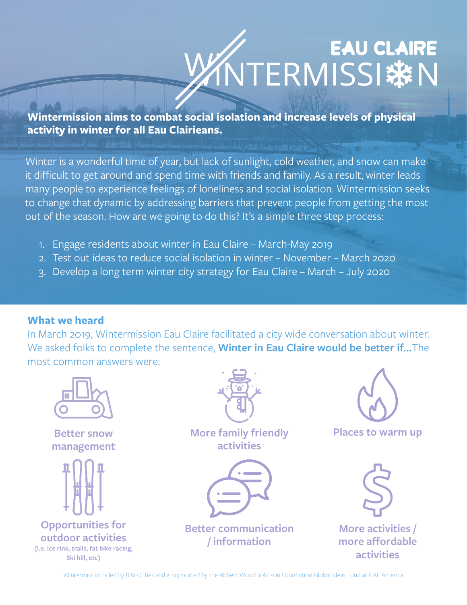# EAU CLAIRE

**Wintermission aims to combat social isolation and increase levels of physical activity in winter for all Eau Clairieans.**

Winter is a wonderful time of year, but lack of sunlight, cold weather, and snow can make it difficult to get around and spend time with friends and family. As a result, winter leads many people to experience feelings of loneliness and social isolation. Wintermission seeks to change that dynamic by addressing barriers that prevent people from getting the most out of the season. How are we going to do this? It's a simple three step process:

- 1. Engage residents about winter in Eau Claire March-May 2019
- 2. Test out ideas to reduce social isolation in winter November March 2020
- 3. Develop a long term winter city strategy for Eau Claire March July 2020

#### **What we heard**

In March 2019, Wintermission Eau Claire facilitated a city wide conversation about winter. We asked folks to complete the sentence, **Winter in Eau Claire would be better if...**The most common answers were:



Wintermission is led by 8 80 Cities and is supported by the Robert Wood Johnson Foundation Global Ideas Fund at CAF America